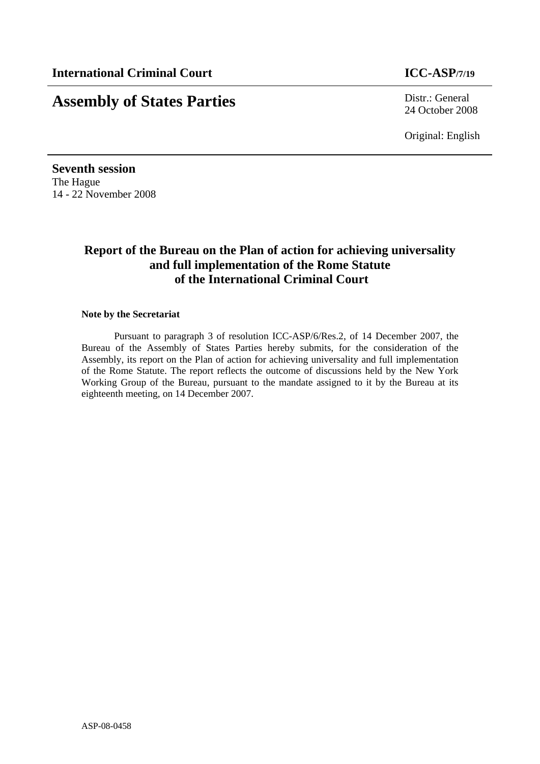# **Assembly of States Parties** Distr.: General

24 October 2008

Original: English

**Seventh session**  The Hague 14 - 22 November 2008

# **Report of the Bureau on the Plan of action for achieving universality and full implementation of the Rome Statute of the International Criminal Court**

#### **Note by the Secretariat**

Pursuant to paragraph 3 of resolution ICC-ASP/6/Res.2, of 14 December 2007, the Bureau of the Assembly of States Parties hereby submits, for the consideration of the Assembly, its report on the Plan of action for achieving universality and full implementation of the Rome Statute. The report reflects the outcome of discussions held by the New York Working Group of the Bureau, pursuant to the mandate assigned to it by the Bureau at its eighteenth meeting, on 14 December 2007.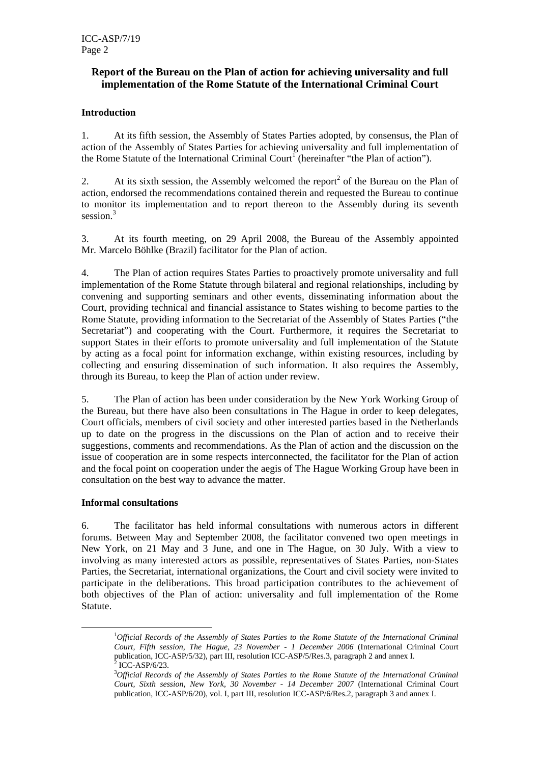# **Report of the Bureau on the Plan of action for achieving universality and full implementation of the Rome Statute of the International Criminal Court**

# **Introduction**

1. At its fifth session, the Assembly of States Parties adopted, by consensus, the Plan of action of the Assembly of States Parties for achieving universality and full implementation of the Rome Statute of the International Criminal Court<sup>1</sup> (hereinafter "the Plan of action").

2. At its sixth session, the Assembly welcomed the report<sup>2</sup> of the Bureau on the Plan of action, endorsed the recommendations contained therein and requested the Bureau to continue to monitor its implementation and to report thereon to the Assembly during its seventh session.<sup>3</sup>

3. At its fourth meeting, on 29 April 2008, the Bureau of the Assembly appointed Mr. Marcelo Böhlke (Brazil) facilitator for the Plan of action.

4. The Plan of action requires States Parties to proactively promote universality and full implementation of the Rome Statute through bilateral and regional relationships, including by convening and supporting seminars and other events, disseminating information about the Court, providing technical and financial assistance to States wishing to become parties to the Rome Statute, providing information to the Secretariat of the Assembly of States Parties ("the Secretariat") and cooperating with the Court. Furthermore, it requires the Secretariat to support States in their efforts to promote universality and full implementation of the Statute by acting as a focal point for information exchange, within existing resources, including by collecting and ensuring dissemination of such information. It also requires the Assembly, through its Bureau, to keep the Plan of action under review.

5. The Plan of action has been under consideration by the New York Working Group of the Bureau, but there have also been consultations in The Hague in order to keep delegates, Court officials, members of civil society and other interested parties based in the Netherlands up to date on the progress in the discussions on the Plan of action and to receive their suggestions, comments and recommendations. As the Plan of action and the discussion on the issue of cooperation are in some respects interconnected, the facilitator for the Plan of action and the focal point on cooperation under the aegis of The Hague Working Group have been in consultation on the best way to advance the matter.

#### **Informal consultations**

6. The facilitator has held informal consultations with numerous actors in different forums. Between May and September 2008, the facilitator convened two open meetings in New York, on 21 May and 3 June, and one in The Hague, on 30 July. With a view to involving as many interested actors as possible, representatives of States Parties, non-States Parties, the Secretariat, international organizations, the Court and civil society were invited to participate in the deliberations. This broad participation contributes to the achievement of both objectives of the Plan of action: universality and full implementation of the Rome Statute.

 $\frac{1}{1}$ <sup>1</sup>Official Records of the Assembly of States Parties to the Rome Statute of the International Criminal *Court, Fifth session, The Hague, 23 November - 1 December 2006* (International Criminal Court publication, ICC-ASP/5/32), part III, resolution ICC-ASP/5/Res.3, paragraph 2 and annex I.<br> $^{2}$  ICC-ASP/6/22  $2$  ICC-ASP/6/23.

<sup>3</sup> *Official Records of the Assembly of States Parties to the Rome Statute of the International Criminal Court, Sixth session, New York, 30 November - 14 December 2007* (International Criminal Court publication, ICC-ASP/6/20), vol. I, part III, resolution ICC-ASP/6/Res.2, paragraph 3 and annex I.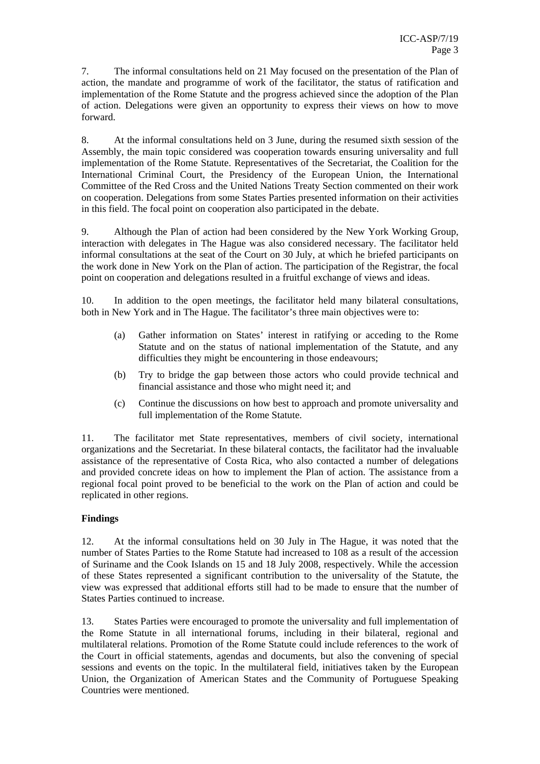7. The informal consultations held on 21 May focused on the presentation of the Plan of action, the mandate and programme of work of the facilitator, the status of ratification and implementation of the Rome Statute and the progress achieved since the adoption of the Plan of action. Delegations were given an opportunity to express their views on how to move forward.

8. At the informal consultations held on 3 June, during the resumed sixth session of the Assembly, the main topic considered was cooperation towards ensuring universality and full implementation of the Rome Statute. Representatives of the Secretariat, the Coalition for the International Criminal Court, the Presidency of the European Union, the International Committee of the Red Cross and the United Nations Treaty Section commented on their work on cooperation. Delegations from some States Parties presented information on their activities in this field. The focal point on cooperation also participated in the debate.

9. Although the Plan of action had been considered by the New York Working Group, interaction with delegates in The Hague was also considered necessary. The facilitator held informal consultations at the seat of the Court on 30 July, at which he briefed participants on the work done in New York on the Plan of action. The participation of the Registrar, the focal point on cooperation and delegations resulted in a fruitful exchange of views and ideas.

10. In addition to the open meetings, the facilitator held many bilateral consultations, both in New York and in The Hague. The facilitator's three main objectives were to:

- (a) Gather information on States' interest in ratifying or acceding to the Rome Statute and on the status of national implementation of the Statute, and any difficulties they might be encountering in those endeavours;
- (b) Try to bridge the gap between those actors who could provide technical and financial assistance and those who might need it; and
- (c) Continue the discussions on how best to approach and promote universality and full implementation of the Rome Statute.

11. The facilitator met State representatives, members of civil society, international organizations and the Secretariat. In these bilateral contacts, the facilitator had the invaluable assistance of the representative of Costa Rica, who also contacted a number of delegations and provided concrete ideas on how to implement the Plan of action. The assistance from a regional focal point proved to be beneficial to the work on the Plan of action and could be replicated in other regions.

# **Findings**

12. At the informal consultations held on 30 July in The Hague, it was noted that the number of States Parties to the Rome Statute had increased to 108 as a result of the accession of Suriname and the Cook Islands on 15 and 18 July 2008, respectively. While the accession of these States represented a significant contribution to the universality of the Statute, the view was expressed that additional efforts still had to be made to ensure that the number of States Parties continued to increase.

13. States Parties were encouraged to promote the universality and full implementation of the Rome Statute in all international forums, including in their bilateral, regional and multilateral relations. Promotion of the Rome Statute could include references to the work of the Court in official statements, agendas and documents, but also the convening of special sessions and events on the topic. In the multilateral field, initiatives taken by the European Union, the Organization of American States and the Community of Portuguese Speaking Countries were mentioned.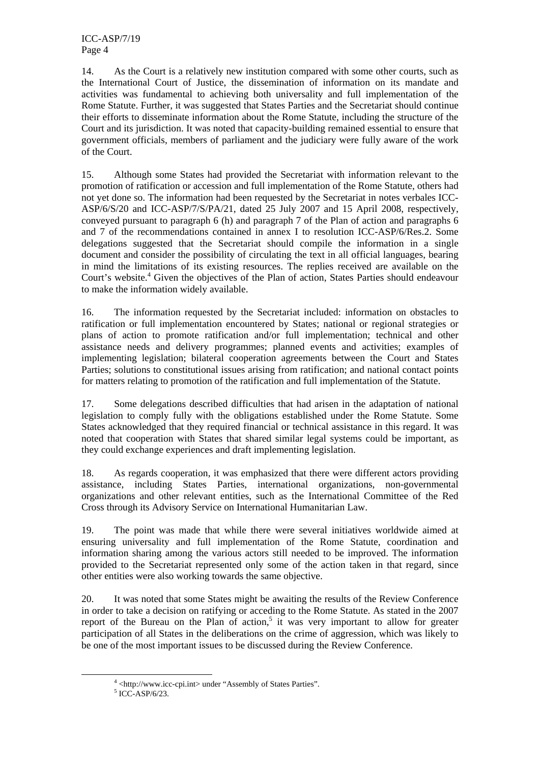14. As the Court is a relatively new institution compared with some other courts, such as the International Court of Justice, the dissemination of information on its mandate and activities was fundamental to achieving both universality and full implementation of the Rome Statute. Further, it was suggested that States Parties and the Secretariat should continue their efforts to disseminate information about the Rome Statute, including the structure of the Court and its jurisdiction. It was noted that capacity-building remained essential to ensure that government officials, members of parliament and the judiciary were fully aware of the work of the Court.

15. Although some States had provided the Secretariat with information relevant to the promotion of ratification or accession and full implementation of the Rome Statute, others had not yet done so. The information had been requested by the Secretariat in notes verbales ICC-ASP/6/S/20 and ICC-ASP/7/S/PA/21, dated 25 July 2007 and 15 April 2008, respectively, conveyed pursuant to paragraph 6 (h) and paragraph 7 of the Plan of action and paragraphs 6 and 7 of the recommendations contained in annex I to resolution ICC-ASP/6/Res.2. Some delegations suggested that the Secretariat should compile the information in a single document and consider the possibility of circulating the text in all official languages, bearing in mind the limitations of its existing resources. The replies received are available on the Court's website.<sup>4</sup> Given the objectives of the Plan of action, States Parties should endeavour to make the information widely available.

16. The information requested by the Secretariat included: information on obstacles to ratification or full implementation encountered by States; national or regional strategies or plans of action to promote ratification and/or full implementation; technical and other assistance needs and delivery programmes; planned events and activities; examples of implementing legislation; bilateral cooperation agreements between the Court and States Parties; solutions to constitutional issues arising from ratification; and national contact points for matters relating to promotion of the ratification and full implementation of the Statute.

17. Some delegations described difficulties that had arisen in the adaptation of national legislation to comply fully with the obligations established under the Rome Statute. Some States acknowledged that they required financial or technical assistance in this regard. It was noted that cooperation with States that shared similar legal systems could be important, as they could exchange experiences and draft implementing legislation.

18. As regards cooperation, it was emphasized that there were different actors providing assistance, including States Parties, international organizations, non-governmental organizations and other relevant entities, such as the International Committee of the Red Cross through its Advisory Service on International Humanitarian Law.

19. The point was made that while there were several initiatives worldwide aimed at ensuring universality and full implementation of the Rome Statute, coordination and information sharing among the various actors still needed to be improved. The information provided to the Secretariat represented only some of the action taken in that regard, since other entities were also working towards the same objective.

20. It was noted that some States might be awaiting the results of the Review Conference in order to take a decision on ratifying or acceding to the Rome Statute. As stated in the 2007 report of the Bureau on the Plan of action,<sup>5</sup> it was very important to allow for greater participation of all States in the deliberations on the crime of aggression, which was likely to be one of the most important issues to be discussed during the Review Conference.

 $\frac{1}{4}$  $4$  <http://www.icc-cpi.int> under "Assembly of States Parties".

 $5$  ICC-ASP/6/23.